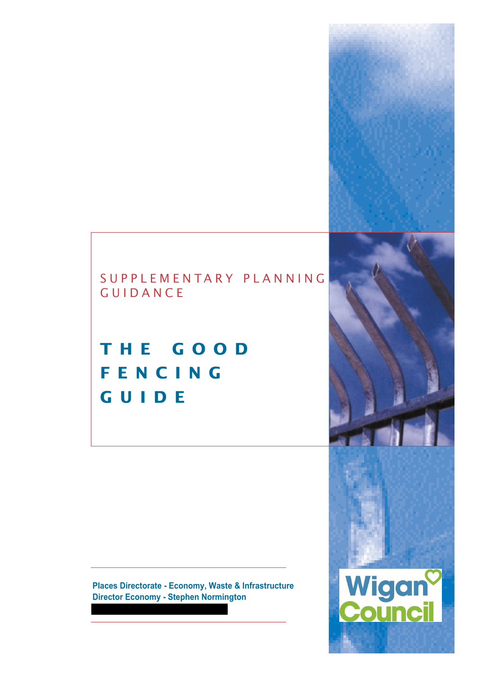## SUPPLEMENTARY PLANNING GUIDANCE

## **THE GOOD FENCING GUIDE**

**Places Directorate - Economy, Waste & Infrastructure Director Economy - Stephen Normington**

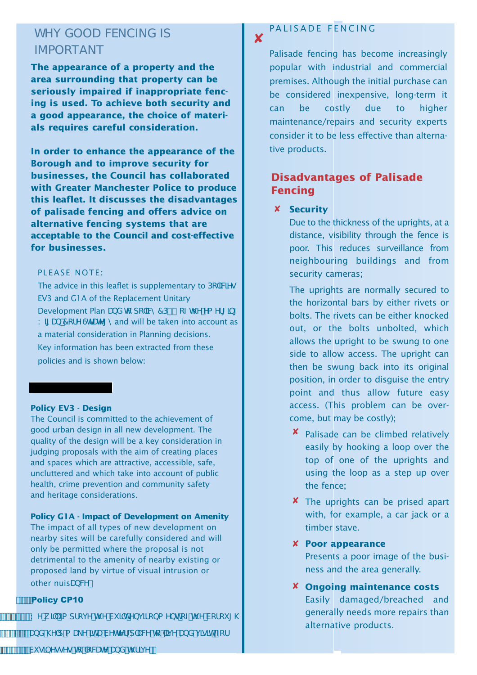## WHY GOOD FENCING IS IMPORTANT

**The appearance of a property and the area surrounding that property can be seriously impaired if inappropriate fencing is used. To achieve both security and a good appearance, the choice of materials requires careful consideration.**

**In order to enhance the appearance of the Borough and to improve security for businesses, the Council has collaborated with Greater Manchester Police to produce this leaflet. It discusses the disadvantages of palisade fencing and offers advice on alternative fencing systems that are acceptable to the Council and cost-effective for businesses.**

#### PLEASE NOTE:

The advice in this leaflet is supplementary to  $Dc^T/Wq$ EV3 and G1A of the Replacement Unitary Development Plan UbX hc dc`IVm7D% cZh Y'Ya Yfl Ibl K II Ub 7 cf Y GrUh I mand will be taken into account as a material consideration in Planning decisions. Key information has been extracted from these policies and is shown below:

#### **Policy EV3 - Design**

The Council is committed to the achievement of good urban design in all new development. The quality of the design will be a key consideration in judging proposals with the aim of creating places and spaces which are attractive, accessible, safe, uncluttered and which take into account of public health, crime prevention and community safety and heritage considerations.

#### **Policy G1A - Impact of Development on Amenity**

The impact of all types of new development on nearby sites will be carefully considered and will only be permitted where the proposal is not detrimental to the amenity of nearby existing or proposed land by virtue of visual intrusion or other nuisUbW"

#### **Policy CP10**

KYk]``]a dfcjYh\YVi ]`hYbj ]fcba YbhcZh\YVcfci [\

UbX \Y`d a U\_Y ]hU VYHYf d`UW'rc ``]j Y UbX j ]g]h⁄ Zcf

#### ✘ PALISADE FENCING

Palisade fencing has become increasingly popular with industrial and commercial premises. Although the initial purchase can be considered inexpensive, long-term it can be costly due to higher maintenance/repairs and security experts consider it to be less effective than alternative products.

## **Disadvantages of Palisade Fencing**

## **x** Security

Due to the thickness of the uprights, at a distance, visibility through the fence is poor. This reduces surveillance from neighbouring buildings and from security cameras;

The uprights are normally secured to the horizontal bars by either rivets or bolts. The rivets can be either knocked out, or the bolts unbolted, which allows the upright to be swung to one side to allow access. The upright can then be swung back into its original position, in order to disguise the entry point and thus allow future easy access. (This problem can be overcome, but may be costly);

- **<sup>x</sup>** Palisade can be climbed relatively easily by hooking a loop over the top of one of the uprights and using the loop as a step up over the fence;
- X The uprights can be prised apart with, for example, a car jack or a timber stave.
- **Poor appearance** ✘ Presents a poor image of the business and the area generally.
- **Ongoing maintenance costs** ✘ Easily damaged/breached and generally needs more repairs than alternative products.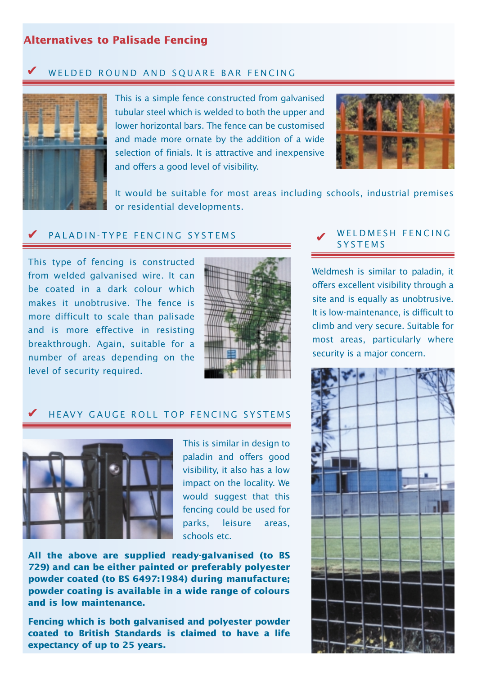## **Alternatives to Palisade Fencing**

#### ✔ WELDED ROUND AND SQUARE BAR FENCING



This is a simple fence constructed from galvanised tubular steel which is welded to both the upper and lower horizontal bars. The fence can be customised and made more ornate by the addition of a wide selection of finials. It is attractive and inexpensive and offers a good level of visibility.



It would be suitable for most areas including schools, industrial premises or residential developments.

#### ✔ PALADIN-TYPE FENCING SYSTEMS

This type of fencing is constructed from welded galvanised wire. It can be coated in a dark colour which makes it unobtrusive. The fence is more difficult to scale than palisade and is more effective in resisting breakthrough. Again, suitable for a number of areas depending on the level of security required.



## HEAVY GAUGE ROLL TOP FENCING SYSTEMS



✔

This is similar in design to paladin and offers good visibility, it also has a low impact on the locality. We would suggest that this fencing could be used for parks, leisure areas, schools etc.

**All the above are supplied ready-galvanised (to BS 729) and can be either painted or preferably polyester powder coated (to BS 6497:1984) during manufacture; powder coating is available in a wide range of colours and is low maintenance.**

**Fencing which is both galvanised and polyester powder coated to British Standards is claimed to have a life expectancy of up to 25 years.** 

#### WELDMESH FENCING SYSTEMS

Weldmesh is similar to paladin, it offers excellent visibility through a site and is equally as unobtrusive. It is low-maintenance, is difficult to climb and very secure. Suitable for most areas, particularly where security is a major concern.